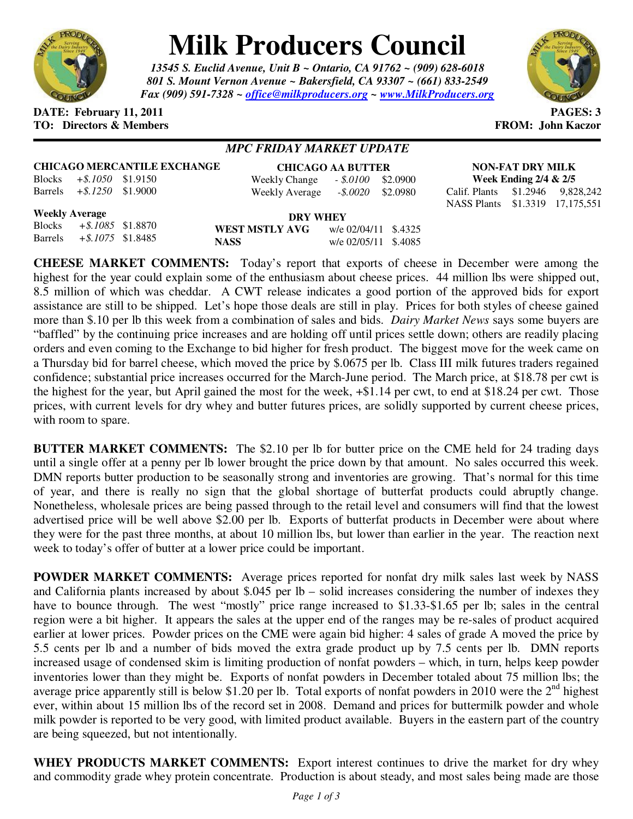

# **Milk Producers Council**

*13545 S. Euclid Avenue, Unit B ~ Ontario, CA 91762 ~ (909) 628-6018 801 S. Mount Vernon Avenue ~ Bakersfield, CA 93307 ~ (661) 833-2549 Fax (909) 591-7328 ~ office@milkproducers.org ~ www.MilkProducers.org*



## **DATE: February 11, 2011 PAGES: 3 TO: Directors & Members FROM: John Kaczor**

# *MPC FRIDAY MARKET UPDATE*

## **CHICAGO MERCANTILE EXCHANGE**

Blocks *+\$.1050* \$1.9150 Barrels *+\$.1250* \$1.9000

#### **CHICAGO AA BUTTER** Weekly Change *- \$.0100* \$2.0900 Weekly Average *-\$.0020* \$2.0980

**NON-FAT DRY MILK Week Ending 2/4 & 2/5**  Calif. Plants \$1.2946 9,828,242

NASS Plants \$1.3319 17,175,551

## **Weekly Average**

| <b>Weekly Average</b> |                             |  |                | DRY WHEY             |  |  |  |
|-----------------------|-----------------------------|--|----------------|----------------------|--|--|--|
|                       | Blocks $+ $.1085$ \$1.8870  |  | WEST MSTLY AVG | w/e 02/04/11 \$.4325 |  |  |  |
|                       | Barrels $+ $.1075$ \$1.8485 |  | <b>NASS</b>    | w/e 02/05/11 \$.4085 |  |  |  |

**CHEESE MARKET COMMENTS:** Today's report that exports of cheese in December were among the highest for the year could explain some of the enthusiasm about cheese prices. 44 million lbs were shipped out, 8.5 million of which was cheddar. A CWT release indicates a good portion of the approved bids for export assistance are still to be shipped. Let's hope those deals are still in play. Prices for both styles of cheese gained more than \$.10 per lb this week from a combination of sales and bids. *Dairy Market News* says some buyers are "baffled" by the continuing price increases and are holding off until prices settle down; others are readily placing orders and even coming to the Exchange to bid higher for fresh product. The biggest move for the week came on a Thursday bid for barrel cheese, which moved the price by \$.0675 per lb. Class III milk futures traders regained confidence; substantial price increases occurred for the March-June period. The March price, at \$18.78 per cwt is the highest for the year, but April gained the most for the week, +\$1.14 per cwt, to end at \$18.24 per cwt. Those prices, with current levels for dry whey and butter futures prices, are solidly supported by current cheese prices, with room to spare.

**BUTTER MARKET COMMENTS:** The \$2.10 per lb for butter price on the CME held for 24 trading days until a single offer at a penny per lb lower brought the price down by that amount. No sales occurred this week. DMN reports butter production to be seasonally strong and inventories are growing. That's normal for this time of year, and there is really no sign that the global shortage of butterfat products could abruptly change. Nonetheless, wholesale prices are being passed through to the retail level and consumers will find that the lowest advertised price will be well above \$2.00 per lb. Exports of butterfat products in December were about where they were for the past three months, at about 10 million lbs, but lower than earlier in the year. The reaction next week to today's offer of butter at a lower price could be important.

**POWDER MARKET COMMENTS:** Average prices reported for nonfat dry milk sales last week by NASS and California plants increased by about \$.045 per lb – solid increases considering the number of indexes they have to bounce through. The west "mostly" price range increased to \$1.33-\$1.65 per lb; sales in the central region were a bit higher. It appears the sales at the upper end of the ranges may be re-sales of product acquired earlier at lower prices. Powder prices on the CME were again bid higher: 4 sales of grade A moved the price by 5.5 cents per lb and a number of bids moved the extra grade product up by 7.5 cents per lb. DMN reports increased usage of condensed skim is limiting production of nonfat powders – which, in turn, helps keep powder inventories lower than they might be. Exports of nonfat powders in December totaled about 75 million lbs; the average price apparently still is below \$1.20 per lb. Total exports of nonfat powders in 2010 were the  $2<sup>nd</sup>$  highest ever, within about 15 million lbs of the record set in 2008. Demand and prices for buttermilk powder and whole milk powder is reported to be very good, with limited product available. Buyers in the eastern part of the country are being squeezed, but not intentionally.

**WHEY PRODUCTS MARKET COMMENTS:** Export interest continues to drive the market for dry whey and commodity grade whey protein concentrate. Production is about steady, and most sales being made are those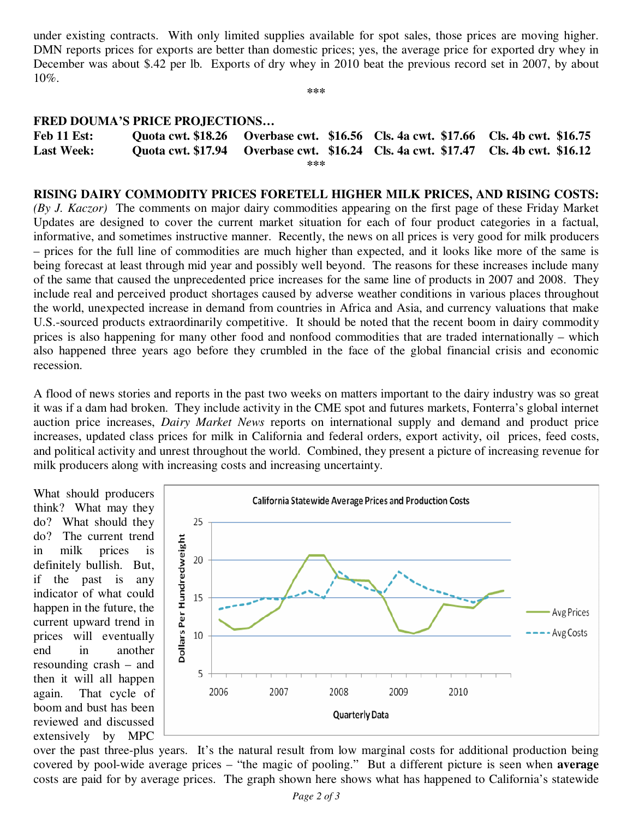under existing contracts. With only limited supplies available for spot sales, those prices are moving higher. DMN reports prices for exports are better than domestic prices; yes, the average price for exported dry whey in December was about \$.42 per lb. Exports of dry whey in 2010 beat the previous record set in 2007, by about 10%.

**\*\*\*** 

## **FRED DOUMA'S PRICE PROJECTIONS…**

| Feb 11 Est:       |  |  |  | Quota cwt. \$18.26 Overbase cwt. \$16.56 Cls. 4a cwt. \$17.66 Cls. 4b cwt. \$16.75 |  |  |  |  |
|-------------------|--|--|--|------------------------------------------------------------------------------------|--|--|--|--|
| <b>Last Week:</b> |  |  |  | Quota cwt. \$17.94 Overbase cwt. \$16.24 Cls. 4a cwt. \$17.47 Cls. 4b cwt. \$16.12 |  |  |  |  |
| ***               |  |  |  |                                                                                    |  |  |  |  |

## **RISING DAIRY COMMODITY PRICES FORETELL HIGHER MILK PRICES, AND RISING COSTS:**

*(By J. Kaczor)* The comments on major dairy commodities appearing on the first page of these Friday Market Updates are designed to cover the current market situation for each of four product categories in a factual, informative, and sometimes instructive manner. Recently, the news on all prices is very good for milk producers – prices for the full line of commodities are much higher than expected, and it looks like more of the same is being forecast at least through mid year and possibly well beyond. The reasons for these increases include many of the same that caused the unprecedented price increases for the same line of products in 2007 and 2008. They include real and perceived product shortages caused by adverse weather conditions in various places throughout the world, unexpected increase in demand from countries in Africa and Asia, and currency valuations that make U.S.-sourced products extraordinarily competitive. It should be noted that the recent boom in dairy commodity prices is also happening for many other food and nonfood commodities that are traded internationally – which also happened three years ago before they crumbled in the face of the global financial crisis and economic recession.

A flood of news stories and reports in the past two weeks on matters important to the dairy industry was so great it was if a dam had broken. They include activity in the CME spot and futures markets, Fonterra's global internet auction price increases, *Dairy Market News* reports on international supply and demand and product price increases, updated class prices for milk in California and federal orders, export activity, oil prices, feed costs, and political activity and unrest throughout the world. Combined, they present a picture of increasing revenue for milk producers along with increasing costs and increasing uncertainty.

What should producers think? What may they do? What should they do? The current trend in milk prices is definitely bullish. But, if the past is any indicator of what could happen in the future, the current upward trend in prices will eventually end in another resounding crash – and then it will all happen again. That cycle of boom and bust has been reviewed and discussed extensively by MPC



over the past three-plus years. It's the natural result from low marginal costs for additional production being covered by pool-wide average prices – "the magic of pooling." But a different picture is seen when **average** costs are paid for by average prices. The graph shown here shows what has happened to California's statewide